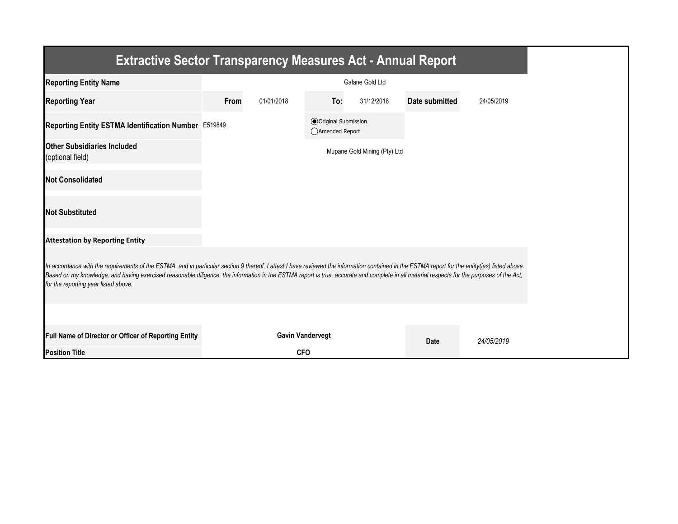| <b>Extractive Sector Transparency Measures Act - Annual Report</b>                                                                                                                                                                                                                                                                                                                                                                    |      |                         |                                                 |                              |                       |            |
|---------------------------------------------------------------------------------------------------------------------------------------------------------------------------------------------------------------------------------------------------------------------------------------------------------------------------------------------------------------------------------------------------------------------------------------|------|-------------------------|-------------------------------------------------|------------------------------|-----------------------|------------|
| <b>Reporting Entity Name</b>                                                                                                                                                                                                                                                                                                                                                                                                          |      |                         |                                                 | Galane Gold Ltd              |                       |            |
| <b>Reporting Year</b>                                                                                                                                                                                                                                                                                                                                                                                                                 | From | 01/01/2018              | To:                                             | 31/12/2018                   | <b>Date submitted</b> | 24/05/2019 |
| Reporting Entity ESTMA Identification Number E519849                                                                                                                                                                                                                                                                                                                                                                                  |      |                         | <b>◎</b> Original Submission<br>○Amended Report |                              |                       |            |
| <b>Other Subsidiaries Included</b><br>(optional field)                                                                                                                                                                                                                                                                                                                                                                                |      |                         |                                                 | Mupane Gold Mining (Pty) Ltd |                       |            |
| <b>Not Consolidated</b>                                                                                                                                                                                                                                                                                                                                                                                                               |      |                         |                                                 |                              |                       |            |
| <b>Not Substituted</b>                                                                                                                                                                                                                                                                                                                                                                                                                |      |                         |                                                 |                              |                       |            |
| <b>Attestation by Reporting Entity</b>                                                                                                                                                                                                                                                                                                                                                                                                |      |                         |                                                 |                              |                       |            |
| In accordance with the requirements of the ESTMA, and in particular section 9 thereof, I attest I have reviewed the information contained in the ESTMA report for the entity(ies) listed above.<br>Based on my knowledge, and having exercised reasonable diligence, the information in the ESTMA report is true, accurate and complete in all material respects for the purposes of the Act,<br>for the reporting year listed above. |      |                         |                                                 |                              |                       |            |
|                                                                                                                                                                                                                                                                                                                                                                                                                                       |      |                         |                                                 |                              |                       |            |
| Full Name of Director or Officer of Reporting Entity                                                                                                                                                                                                                                                                                                                                                                                  |      | <b>Gavin Vandervegt</b> |                                                 |                              | Date                  | 24/05/2019 |
| <b>Position Title</b>                                                                                                                                                                                                                                                                                                                                                                                                                 |      | <b>CFO</b>              |                                                 |                              |                       |            |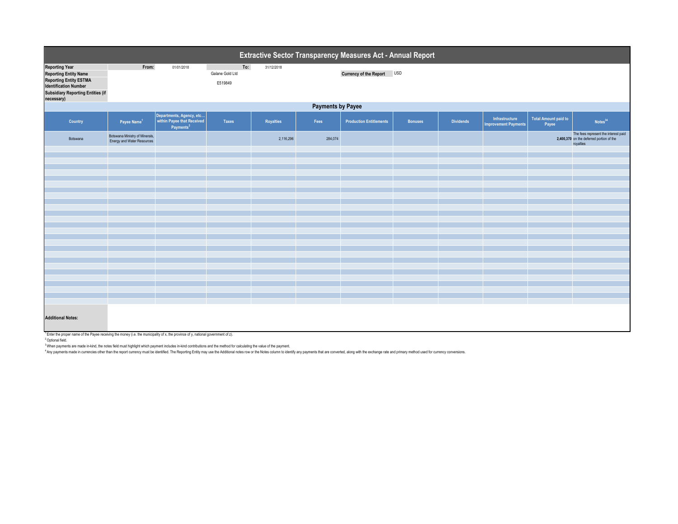| Extractive Sector Transparency Measures Act - Annual Report                                                                                                                      |                                                              |                                                                                 |                                   |                  |         |                                |                |                  |                                               |                                      |                                                                                               |  |
|----------------------------------------------------------------------------------------------------------------------------------------------------------------------------------|--------------------------------------------------------------|---------------------------------------------------------------------------------|-----------------------------------|------------------|---------|--------------------------------|----------------|------------------|-----------------------------------------------|--------------------------------------|-----------------------------------------------------------------------------------------------|--|
| <b>Reporting Year</b><br><b>Reporting Entity Name</b><br><b>Reporting Entity ESTMA</b><br><b>Identification Number</b><br><b>Subsidiary Reporting Entities (if</b><br>necessary) | From:                                                        | 01/01/2018                                                                      | To:<br>Galane Gold Ltd<br>E519849 | 31/12/2018       |         | Currency of the Report USD     |                |                  |                                               |                                      |                                                                                               |  |
|                                                                                                                                                                                  | <b>Payments by Payee</b>                                     |                                                                                 |                                   |                  |         |                                |                |                  |                                               |                                      |                                                                                               |  |
| Country                                                                                                                                                                          | Payee Name <sup>1</sup>                                      | Departments, Agency, etc<br>within Payee that Received<br>Payments <sup>2</sup> | <b>Taxes</b>                      | <b>Royalties</b> | Fees    | <b>Production Entitlements</b> | <b>Bonuses</b> | <b>Dividends</b> | Infrastructure<br><b>Improvement Payments</b> | <b>Total Amount paid to</b><br>Payee | Notes <sup>34</sup>                                                                           |  |
| Botswana                                                                                                                                                                         | Botswana Ministry of Minerals,<br>Energy and Water Resources |                                                                                 |                                   | 2,116,296        | 284,074 |                                |                |                  |                                               |                                      | The fees represent the interest paid<br>2,400,370 on the deferred portion of the<br>royalties |  |
|                                                                                                                                                                                  |                                                              |                                                                                 |                                   |                  |         |                                |                |                  |                                               |                                      |                                                                                               |  |
|                                                                                                                                                                                  |                                                              |                                                                                 |                                   |                  |         |                                |                |                  |                                               |                                      |                                                                                               |  |
|                                                                                                                                                                                  |                                                              |                                                                                 |                                   |                  |         |                                |                |                  |                                               |                                      |                                                                                               |  |
|                                                                                                                                                                                  |                                                              |                                                                                 |                                   |                  |         |                                |                |                  |                                               |                                      |                                                                                               |  |
|                                                                                                                                                                                  |                                                              |                                                                                 |                                   |                  |         |                                |                |                  |                                               |                                      |                                                                                               |  |
|                                                                                                                                                                                  |                                                              |                                                                                 |                                   |                  |         |                                |                |                  |                                               |                                      |                                                                                               |  |
|                                                                                                                                                                                  |                                                              |                                                                                 |                                   |                  |         |                                |                |                  |                                               |                                      |                                                                                               |  |
|                                                                                                                                                                                  |                                                              |                                                                                 |                                   |                  |         |                                |                |                  |                                               |                                      |                                                                                               |  |
|                                                                                                                                                                                  |                                                              |                                                                                 |                                   |                  |         |                                |                |                  |                                               |                                      |                                                                                               |  |
|                                                                                                                                                                                  |                                                              |                                                                                 |                                   |                  |         |                                |                |                  |                                               |                                      |                                                                                               |  |
|                                                                                                                                                                                  |                                                              |                                                                                 |                                   |                  |         |                                |                |                  |                                               |                                      |                                                                                               |  |
|                                                                                                                                                                                  |                                                              |                                                                                 |                                   |                  |         |                                |                |                  |                                               |                                      |                                                                                               |  |
|                                                                                                                                                                                  |                                                              |                                                                                 |                                   |                  |         |                                |                |                  |                                               |                                      |                                                                                               |  |
|                                                                                                                                                                                  |                                                              |                                                                                 |                                   |                  |         |                                |                |                  |                                               |                                      |                                                                                               |  |
|                                                                                                                                                                                  |                                                              |                                                                                 |                                   |                  |         |                                |                |                  |                                               |                                      |                                                                                               |  |
|                                                                                                                                                                                  |                                                              |                                                                                 |                                   |                  |         |                                |                |                  |                                               |                                      |                                                                                               |  |
|                                                                                                                                                                                  |                                                              |                                                                                 |                                   |                  |         |                                |                |                  |                                               |                                      |                                                                                               |  |
|                                                                                                                                                                                  |                                                              |                                                                                 |                                   |                  |         |                                |                |                  |                                               |                                      |                                                                                               |  |
|                                                                                                                                                                                  |                                                              |                                                                                 |                                   |                  |         |                                |                |                  |                                               |                                      |                                                                                               |  |
| <b>Additional Notes:</b><br>Finder the proper name of the Payee receiving the money (i.e. the municipality of x, the province of y, national government of z).                   |                                                              |                                                                                 |                                   |                  |         |                                |                |                  |                                               |                                      |                                                                                               |  |

Payee receiving the money (i.e. the municipality of x, the province of y, national government of z).

<sup>2</sup>Optional field.

<sup>3</sup> When payments are made in-kind, the notes field must highlight which payment includes in-kind contributions and the method for calculating the value of the payment.<br><sup>4</sup> Any payments made in currencies other than the re